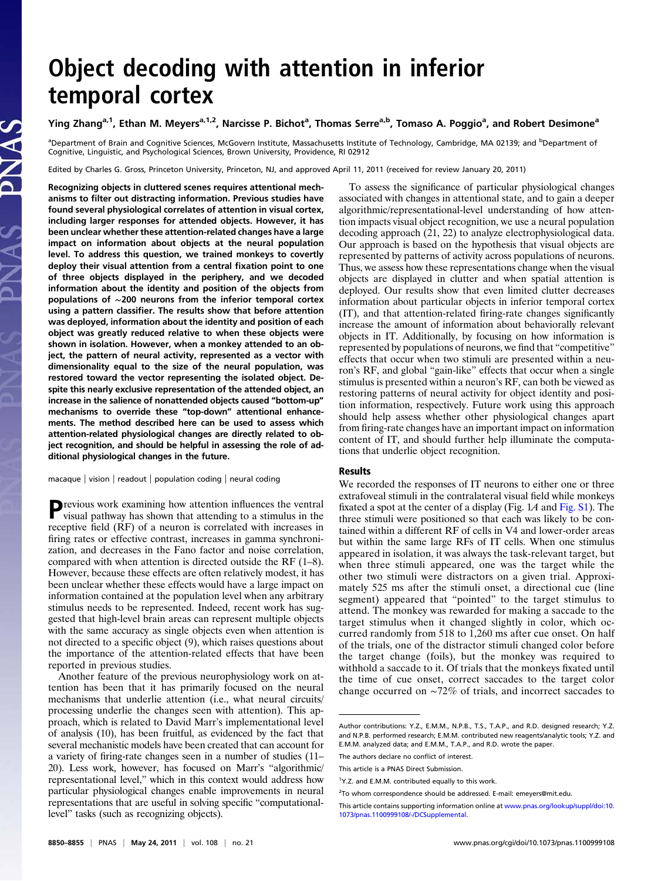# Object decoding with attention in inferior temporal cortex

## Ying Zhang<sup>a,1</sup>, Ethan M. Meyers<sup>a,1,2</sup>, Narcisse P. Bichot<sup>a</sup>, Thomas Serre<sup>a,b</sup>, Tomaso A. Poggio<sup>a</sup>, and Robert Desimone<sup>a</sup>

<sup>a</sup>Department of Brain and Cognitive Sciences, McGovern Institute, Massachusetts Institute of Technology, Cambridge, MA 02139; and <sup>b</sup>Department of Cognitive, Linguistic, and Psychological Sciences, Brown University, Providence, RI 02912

Edited by Charles G. Gross, Princeton University, Princeton, NJ, and approved April 11, 2011 (received for review January 20, 2011)

Recognizing objects in cluttered scenes requires attentional mechanisms to filter out distracting information. Previous studies have found several physiological correlates of attention in visual cortex, including larger responses for attended objects. However, it has been unclear whether these attention-related changes have a large impact on information about objects at the neural population level. To address this question, we trained monkeys to covertly deploy their visual attention from a central fixation point to one of three objects displayed in the periphery, and we decoded information about the identity and position of the objects from populations of ∼200 neurons from the inferior temporal cortex using a pattern classifier. The results show that before attention was deployed, information about the identity and position of each object was greatly reduced relative to when these objects were shown in isolation. However, when a monkey attended to an object, the pattern of neural activity, represented as a vector with dimensionality equal to the size of the neural population, was restored toward the vector representing the isolated object. Despite this nearly exclusive representation of the attended object, an increase in the salience of nonattended objects caused "bottom-up" mechanisms to override these "top-down" attentional enhancements. The method described here can be used to assess which attention-related physiological changes are directly related to object recognition, and should be helpful in assessing the role of additional physiological changes in the future.

macaque | vision | readout | population coding | neural coding

Previous work examining how attention influences the ventral visual pathway has shown that attending to a stimulus in the receptive field (RF) of a neuron is correlated with increases in firing rates or effective contrast, increases in gamma synchronization, and decreases in the Fano factor and noise correlation, compared with when attention is directed outside the RF (1–8). However, because these effects are often relatively modest, it has been unclear whether these effects would have a large impact on information contained at the population level when any arbitrary stimulus needs to be represented. Indeed, recent work has suggested that high-level brain areas can represent multiple objects with the same accuracy as single objects even when attention is not directed to a specific object (9), which raises questions about the importance of the attention-related effects that have been reported in previous studies.

Another feature of the previous neurophysiology work on attention has been that it has primarily focused on the neural mechanisms that underlie attention (i.e., what neural circuits/ processing underlie the changes seen with attention). This approach, which is related to David Marr's implementational level of analysis (10), has been fruitful, as evidenced by the fact that several mechanistic models have been created that can account for a variety of firing-rate changes seen in a number of studies (11– 20). Less work, however, has focused on Marr's "algorithmic/ representational level," which in this context would address how particular physiological changes enable improvements in neural representations that are useful in solving specific "computationallevel" tasks (such as recognizing objects).

To assess the significance of particular physiological changes associated with changes in attentional state, and to gain a deeper algorithmic/representational-level understanding of how attention impacts visual object recognition, we use a neural population decoding approach (21, 22) to analyze electrophysiological data. Our approach is based on the hypothesis that visual objects are represented by patterns of activity across populations of neurons. Thus, we assess how these representations change when the visual objects are displayed in clutter and when spatial attention is deployed. Our results show that even limited clutter decreases information about particular objects in inferior temporal cortex (IT), and that attention-related firing-rate changes significantly increase the amount of information about behaviorally relevant objects in IT. Additionally, by focusing on how information is represented by populations of neurons, we find that "competitive" effects that occur when two stimuli are presented within a neuron's RF, and global "gain-like" effects that occur when a single stimulus is presented within a neuron's RF, can both be viewed as restoring patterns of neural activity for object identity and position information, respectively. Future work using this approach should help assess whether other physiological changes apart from firing-rate changes have an important impact on information content of IT, and should further help illuminate the computations that underlie object recognition.

### Results

We recorded the responses of IT neurons to either one or three extrafoveal stimuli in the contralateral visual field while monkeys fixated a spot at the center of a display (Fig. 1A and [Fig. S1\)](http://www.pnas.org/lookup/suppl/doi:10.1073/pnas.1100999108/-/DCSupplemental/pnas.201100999SI.pdf?targetid=nameddest=SF1). The three stimuli were positioned so that each was likely to be contained within a different RF of cells in V4 and lower-order areas but within the same large RFs of IT cells. When one stimulus appeared in isolation, it was always the task-relevant target, but when three stimuli appeared, one was the target while the other two stimuli were distractors on a given trial. Approximately 525 ms after the stimuli onset, a directional cue (line segment) appeared that "pointed" to the target stimulus to attend. The monkey was rewarded for making a saccade to the target stimulus when it changed slightly in color, which occurred randomly from 518 to 1,260 ms after cue onset. On half of the trials, one of the distractor stimuli changed color before the target change (foils), but the monkey was required to withhold a saccade to it. Of trials that the monkeys fixated until the time of cue onset, correct saccades to the target color change occurred on ∼72% of trials, and incorrect saccades to

Author contributions: Y.Z., E.M.M., N.P.B., T.S., T.A.P., and R.D. designed research; Y.Z. and N.P.B. performed research; E.M.M. contributed new reagents/analytic tools; Y.Z. and E.M.M. analyzed data; and E.M.M., T.A.P., and R.D. wrote the paper.

The authors declare no conflict of interest.

This article is a PNAS Direct Submission.

<sup>&</sup>lt;sup>1</sup>Y.Z. and E.M.M. contributed equally to this work.

<sup>&</sup>lt;sup>2</sup>To whom correspondence should be addressed. E-mail: [emeyers@mit.edu](mailto:emeyers@mit.edu).

This article contains supporting information online at [www.pnas.org/lookup/suppl/doi:10.](http://www.pnas.org/lookup/suppl/doi:10.1073/pnas.1100999108/-/DCSupplemental) [1073/pnas.1100999108/-/DCSupplemental.](http://www.pnas.org/lookup/suppl/doi:10.1073/pnas.1100999108/-/DCSupplemental)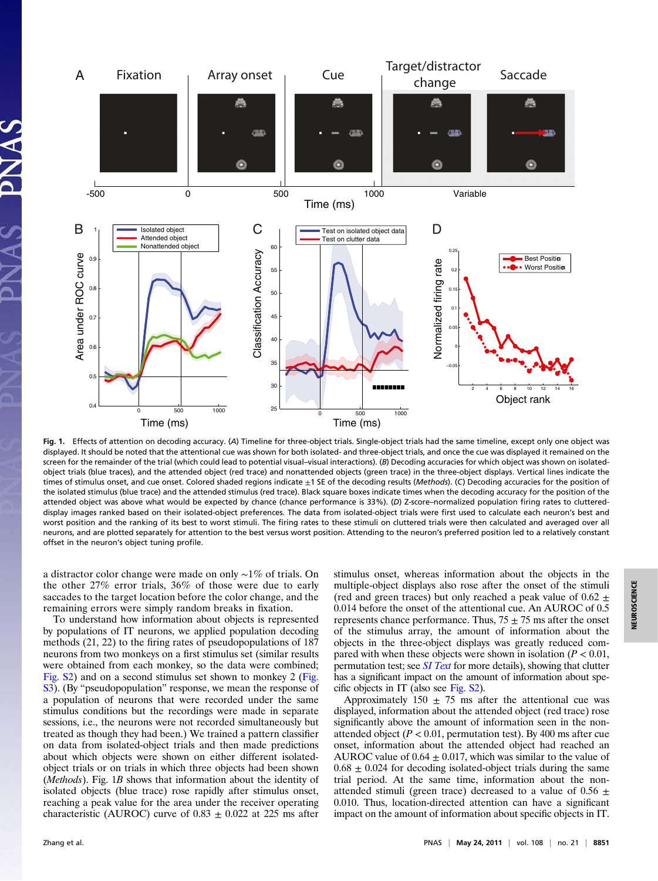

Fig. 1. Effects of attention on decoding accuracy. (A) Timeline for three-object trials. Single-object trials had the same timeline, except only one object was displayed. It should be noted that the attentional cue was shown for both isolated- and three-object trials, and once the cue was displayed it remained on the screen for the remainder of the trial (which could lead to potential visual–visual interactions). (B) Decoding accuracies for which object was shown on isolatedobject trials (blue traces), and the attended object (red trace) and nonattended objects (green trace) in the three-object displays. Vertical lines indicate the times of stimulus onset, and cue onset. Colored shaded regions indicate  $\pm 1$  SE of the decoding results (Methods). (C) Decoding accuracies for the position of the isolated stimulus (blue trace) and the attended stimulus (red trace). Black square boxes indicate times when the decoding accuracy for the position of the attended object was above what would be expected by chance (chance performance is 33%). (D) Z-score–normalized population firing rates to cluttereddisplay images ranked based on their isolated-object preferences. The data from isolated-object trials were first used to calculate each neuron's best and worst position and the ranking of its best to worst stimuli. The firing rates to these stimuli on cluttered trials were then calculated and averaged over all neurons, and are plotted separately for attention to the best versus worst position. Attending to the neuron's preferred position led to a relatively constant offset in the neuron's object tuning profile.

a distractor color change were made on only ∼1% of trials. On the other 27% error trials, 36% of those were due to early saccades to the target location before the color change, and the remaining errors were simply random breaks in fixation.

To understand how information about objects is represented by populations of IT neurons, we applied population decoding methods (21, 22) to the firing rates of pseudopopulations of 187 neurons from two monkeys on a first stimulus set (similar results were obtained from each monkey, so the data were combined; [Fig. S2](http://www.pnas.org/lookup/suppl/doi:10.1073/pnas.1100999108/-/DCSupplemental/pnas.201100999SI.pdf?targetid=nameddest=SF2)) and on a second stimulus set shown to monkey 2 ([Fig.](http://www.pnas.org/lookup/suppl/doi:10.1073/pnas.1100999108/-/DCSupplemental/pnas.201100999SI.pdf?targetid=nameddest=SF3) [S3\)](http://www.pnas.org/lookup/suppl/doi:10.1073/pnas.1100999108/-/DCSupplemental/pnas.201100999SI.pdf?targetid=nameddest=SF3). (By "pseudopopulation" response, we mean the response of a population of neurons that were recorded under the same stimulus conditions but the recordings were made in separate sessions, i.e., the neurons were not recorded simultaneously but treated as though they had been.) We trained a pattern classifier on data from isolated-object trials and then made predictions about which objects were shown on either different isolatedobject trials or on trials in which three objects had been shown (Methods). Fig. 1B shows that information about the identity of isolated objects (blue trace) rose rapidly after stimulus onset, reaching a peak value for the area under the receiver operating characteristic (AUROC) curve of  $0.83 \pm 0.022$  at 225 ms after stimulus onset, whereas information about the objects in the multiple-object displays also rose after the onset of the stimuli (red and green traces) but only reached a peak value of  $0.62 \pm$ 0.014 before the onset of the attentional cue. An AUROC of 0.5 represents chance performance. Thus,  $75 \pm 75$  ms after the onset of the stimulus array, the amount of information about the objects in the three-object displays was greatly reduced compared with when these objects were shown in isolation ( $P < 0.01$ , permutation test; see *[SI Text](http://www.pnas.org/lookup/suppl/doi:10.1073/pnas.1100999108/-/DCSupplemental/pnas.201100999SI.pdf?targetid=nameddest=STXT)* for more details), showing that clutter has a significant impact on the amount of information about specific objects in IT (also see [Fig. S2](http://www.pnas.org/lookup/suppl/doi:10.1073/pnas.1100999108/-/DCSupplemental/pnas.201100999SI.pdf?targetid=nameddest=SF2)).

Approximately 150  $\pm$  75 ms after the attentional cue was displayed, information about the attended object (red trace) rose significantly above the amount of information seen in the nonattended object ( $P < 0.01$ , permutation test). By 400 ms after cue onset, information about the attended object had reached an AUROC value of  $0.64 \pm 0.017$ , which was similar to the value of  $0.68 \pm 0.024$  for decoding isolated-object trials during the same trial period. At the same time, information about the nonattended stimuli (green trace) decreased to a value of  $0.56 \pm$ 0.010. Thus, location-directed attention can have a significant impact on the amount of information about specific objects in IT.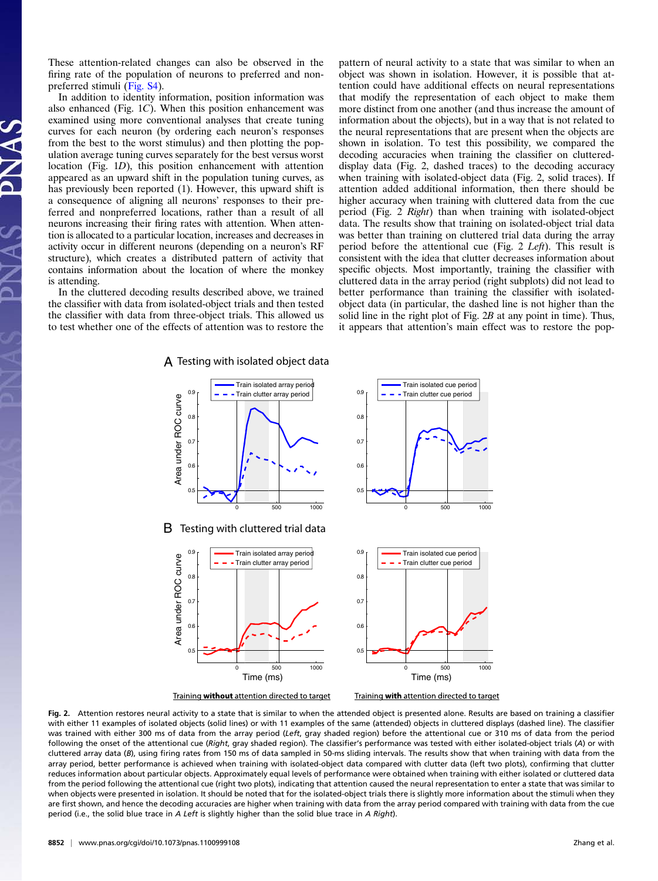These attention-related changes can also be observed in the firing rate of the population of neurons to preferred and nonpreferred stimuli ([Fig. S4](http://www.pnas.org/lookup/suppl/doi:10.1073/pnas.1100999108/-/DCSupplemental/pnas.201100999SI.pdf?targetid=nameddest=SF4)).

In addition to identity information, position information was also enhanced (Fig. 1C). When this position enhancement was examined using more conventional analyses that create tuning curves for each neuron (by ordering each neuron's responses from the best to the worst stimulus) and then plotting the population average tuning curves separately for the best versus worst location (Fig. 1D), this position enhancement with attention appeared as an upward shift in the population tuning curves, as has previously been reported (1). However, this upward shift is a consequence of aligning all neurons' responses to their preferred and nonpreferred locations, rather than a result of all neurons increasing their firing rates with attention. When attention is allocated to a particular location, increases and decreases in activity occur in different neurons (depending on a neuron's RF structure), which creates a distributed pattern of activity that contains information about the location of where the monkey is attending.

In the cluttered decoding results described above, we trained the classifier with data from isolated-object trials and then tested the classifier with data from three-object trials. This allowed us to test whether one of the effects of attention was to restore the

pattern of neural activity to a state that was similar to when an object was shown in isolation. However, it is possible that attention could have additional effects on neural representations that modify the representation of each object to make them more distinct from one another (and thus increase the amount of information about the objects), but in a way that is not related to the neural representations that are present when the objects are shown in isolation. To test this possibility, we compared the decoding accuracies when training the classifier on cluttereddisplay data (Fig. 2, dashed traces) to the decoding accuracy when training with isolated-object data (Fig. 2, solid traces). If attention added additional information, then there should be higher accuracy when training with cluttered data from the cue period (Fig. 2 Right) than when training with isolated-object data. The results show that training on isolated-object trial data was better than training on cluttered trial data during the array period before the attentional cue (Fig. 2 Left). This result is consistent with the idea that clutter decreases information about specific objects. Most importantly, training the classifier with cluttered data in the array period (right subplots) did not lead to better performance than training the classifier with isolatedobject data (in particular, the dashed line is not higher than the solid line in the right plot of Fig. 2B at any point in time). Thus, it appears that attention's main effect was to restore the pop-

 $\bm{\mathsf{A}}$  Testing with isolated object data



Fig. 2. Attention restores neural activity to a state that is similar to when the attended object is presented alone. Results are based on training a classifier with either 11 examples of isolated objects (solid lines) or with 11 examples of the same (attended) objects in cluttered displays (dashed line). The classifier was trained with either 300 ms of data from the array period (Left, gray shaded region) before the attentional cue or 310 ms of data from the period following the onset of the attentional cue (Right, gray shaded region). The classifier's performance was tested with either isolated-object trials (A) or with cluttered array data (B), using firing rates from 150 ms of data sampled in 50-ms sliding intervals. The results show that when training with data from the array period, better performance is achieved when training with isolated-object data compared with clutter data (left two plots), confirming that clutter reduces information about particular objects. Approximately equal levels of performance were obtained when training with either isolated or cluttered data from the period following the attentional cue (right two plots), indicating that attention caused the neural representation to enter a state that was similar to when objects were presented in isolation. It should be noted that for the isolated-object trials there is slightly more information about the stimuli when they are first shown, and hence the decoding accuracies are higher when training with data from the array period compared with training with data from the cue period (i.e., the solid blue trace in A Left is slightly higher than the solid blue trace in A Right).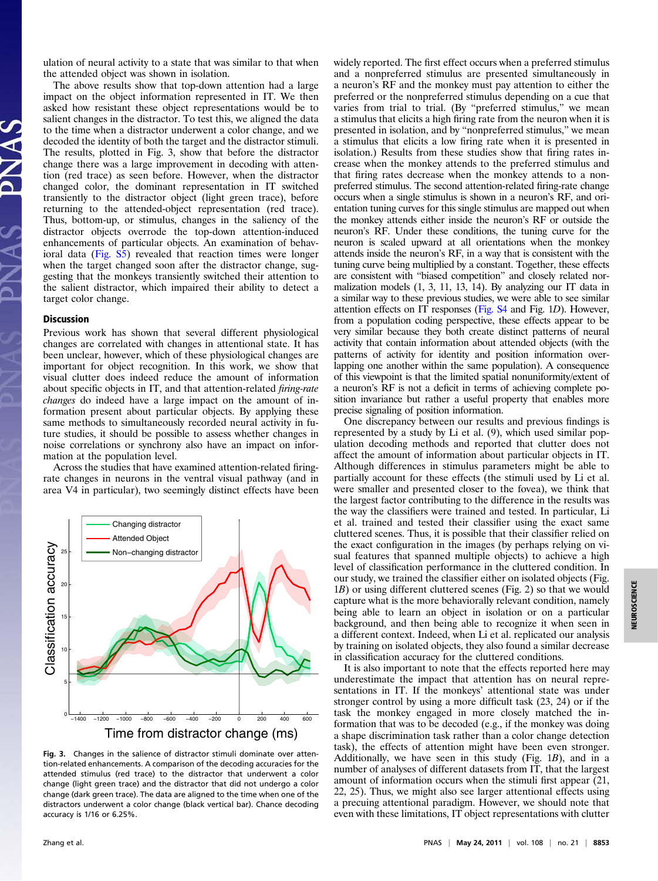ulation of neural activity to a state that was similar to that when the attended object was shown in isolation.

The above results show that top-down attention had a large impact on the object information represented in IT. We then asked how resistant these object representations would be to salient changes in the distractor. To test this, we aligned the data to the time when a distractor underwent a color change, and we decoded the identity of both the target and the distractor stimuli. The results, plotted in Fig. 3, show that before the distractor change there was a large improvement in decoding with attention (red trace) as seen before. However, when the distractor changed color, the dominant representation in IT switched transiently to the distractor object (light green trace), before returning to the attended-object representation (red trace). Thus, bottom-up, or stimulus, changes in the saliency of the distractor objects overrode the top-down attention-induced enhancements of particular objects. An examination of behavioral data [\(Fig. S5\)](http://www.pnas.org/lookup/suppl/doi:10.1073/pnas.1100999108/-/DCSupplemental/pnas.201100999SI.pdf?targetid=nameddest=SF5) revealed that reaction times were longer when the target changed soon after the distractor change, suggesting that the monkeys transiently switched their attention to the salient distractor, which impaired their ability to detect a target color change.

### Discussion

Previous work has shown that several different physiological changes are correlated with changes in attentional state. It has been unclear, however, which of these physiological changes are important for object recognition. In this work, we show that visual clutter does indeed reduce the amount of information about specific objects in IT, and that attention-related firing-rate changes do indeed have a large impact on the amount of information present about particular objects. By applying these same methods to simultaneously recorded neural activity in future studies, it should be possible to assess whether changes in noise correlations or synchrony also have an impact on information at the population level.

Across the studies that have examined attention-related firingrate changes in neurons in the ventral visual pathway (and in area V4 in particular), two seemingly distinct effects have been



Fig. 3. Changes in the salience of distractor stimuli dominate over attention-related enhancements. A comparison of the decoding accuracies for the attended stimulus (red trace) to the distractor that underwent a color change (light green trace) and the distractor that did not undergo a color change (dark green trace). The data are aligned to the time when one of the distractors underwent a color change (black vertical bar). Chance decoding accuracy is 1/16 or 6.25%.

widely reported. The first effect occurs when a preferred stimulus and a nonpreferred stimulus are presented simultaneously in a neuron's RF and the monkey must pay attention to either the preferred or the nonpreferred stimulus depending on a cue that varies from trial to trial. (By "preferred stimulus," we mean a stimulus that elicits a high firing rate from the neuron when it is presented in isolation, and by "nonpreferred stimulus," we mean a stimulus that elicits a low firing rate when it is presented in isolation.) Results from these studies show that firing rates increase when the monkey attends to the preferred stimulus and that firing rates decrease when the monkey attends to a nonpreferred stimulus. The second attention-related firing-rate change occurs when a single stimulus is shown in a neuron's RF, and orientation tuning curves for this single stimulus are mapped out when the monkey attends either inside the neuron's RF or outside the neuron's RF. Under these conditions, the tuning curve for the neuron is scaled upward at all orientations when the monkey attends inside the neuron's RF, in a way that is consistent with the tuning curve being multiplied by a constant. Together, these effects are consistent with "biased competition" and closely related normalization models (1, 3, 11, 13, 14). By analyzing our IT data in a similar way to these previous studies, we were able to see similar attention effects on IT responses [\(Fig. S4](http://www.pnas.org/lookup/suppl/doi:10.1073/pnas.1100999108/-/DCSupplemental/pnas.201100999SI.pdf?targetid=nameddest=SF4) and Fig. 1D). However, from a population coding perspective, these effects appear to be very similar because they both create distinct patterns of neural activity that contain information about attended objects (with the patterns of activity for identity and position information overlapping one another within the same population). A consequence of this viewpoint is that the limited spatial nonuniformity/extent of a neuron's RF is not a deficit in terms of achieving complete position invariance but rather a useful property that enables more precise signaling of position information.

One discrepancy between our results and previous findings is represented by a study by Li et al. (9), which used similar population decoding methods and reported that clutter does not affect the amount of information about particular objects in IT. Although differences in stimulus parameters might be able to partially account for these effects (the stimuli used by Li et al. were smaller and presented closer to the fovea), we think that the largest factor contributing to the difference in the results was the way the classifiers were trained and tested. In particular, Li et al. trained and tested their classifier using the exact same cluttered scenes. Thus, it is possible that their classifier relied on the exact configuration in the images (by perhaps relying on visual features that spanned multiple objects) to achieve a high level of classification performance in the cluttered condition. In our study, we trained the classifier either on isolated objects (Fig. 1B) or using different cluttered scenes (Fig. 2) so that we would capture what is the more behaviorally relevant condition, namely being able to learn an object in isolation or on a particular background, and then being able to recognize it when seen in a different context. Indeed, when Li et al. replicated our analysis by training on isolated objects, they also found a similar decrease in classification accuracy for the cluttered conditions.

It is also important to note that the effects reported here may underestimate the impact that attention has on neural representations in IT. If the monkeys' attentional state was under stronger control by using a more difficult task (23, 24) or if the task the monkey engaged in more closely matched the information that was to be decoded (e.g., if the monkey was doing a shape discrimination task rather than a color change detection task), the effects of attention might have been even stronger. Additionally, we have seen in this study (Fig. 1B), and in a number of analyses of different datasets from IT, that the largest amount of information occurs when the stimuli first appear (21, 22, 25). Thus, we might also see larger attentional effects using a precuing attentional paradigm. However, we should note that even with these limitations, IT object representations with clutter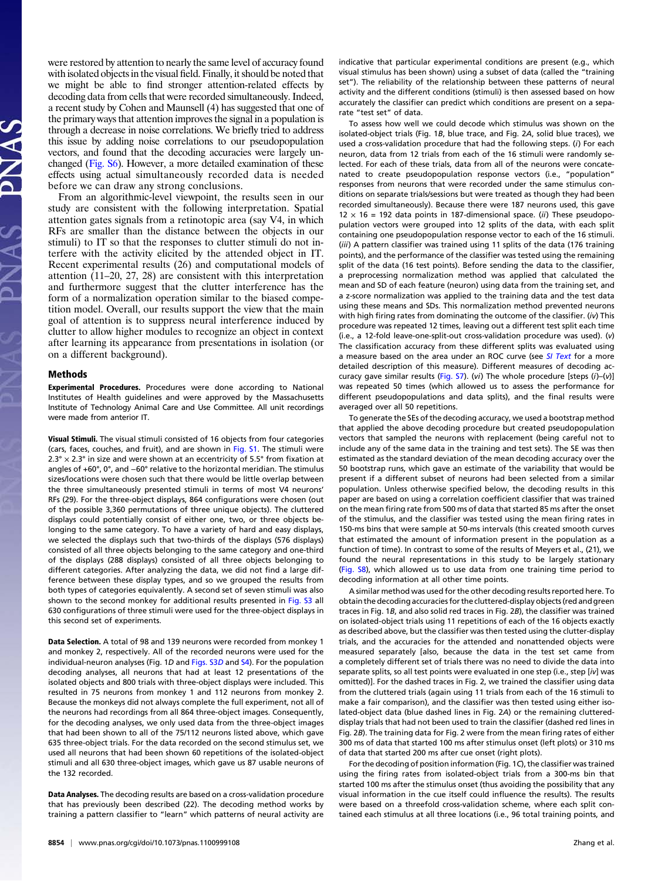were restored by attention to nearly the same level of accuracy found with isolated objects in the visual field. Finally, it should be noted that we might be able to find stronger attention-related effects by decoding data from cells that were recorded simultaneously. Indeed, a recent study by Cohen and Maunsell (4) has suggested that one of the primary ways that attention improves the signal in a population is through a decrease in noise correlations. We briefly tried to address this issue by adding noise correlations to our pseudopopulation vectors, and found that the decoding accuracies were largely unchanged [\(Fig. S6\)](http://www.pnas.org/lookup/suppl/doi:10.1073/pnas.1100999108/-/DCSupplemental/pnas.201100999SI.pdf?targetid=nameddest=SF6). However, a more detailed examination of these effects using actual simultaneously recorded data is needed before we can draw any strong conclusions.

From an algorithmic-level viewpoint, the results seen in our study are consistent with the following interpretation. Spatial attention gates signals from a retinotopic area (say V4, in which RFs are smaller than the distance between the objects in our stimuli) to IT so that the responses to clutter stimuli do not interfere with the activity elicited by the attended object in IT. Recent experimental results (26) and computational models of attention (11–20, 27, 28) are consistent with this interpretation and furthermore suggest that the clutter interference has the form of a normalization operation similar to the biased competition model. Overall, our results support the view that the main goal of attention is to suppress neural interference induced by clutter to allow higher modules to recognize an object in context after learning its appearance from presentations in isolation (or on a different background).

#### Methods

Experimental Procedures. Procedures were done according to National Institutes of Health guidelines and were approved by the Massachusetts Institute of Technology Animal Care and Use Committee. All unit recordings were made from anterior IT.

Visual Stimuli. The visual stimuli consisted of 16 objects from four categories (cars, faces, couches, and fruit), and are shown in [Fig. S1.](http://www.pnas.org/lookup/suppl/doi:10.1073/pnas.1100999108/-/DCSupplemental/pnas.201100999SI.pdf?targetid=nameddest=SF1) The stimuli were  $2.3^\circ \times 2.3^\circ$  in size and were shown at an eccentricity of 5.5° from fixation at angles of +60°, 0°, and −60° relative to the horizontal meridian. The stimulus sizes/locations were chosen such that there would be little overlap between the three simultaneously presented stimuli in terms of most V4 neurons' RFs (29). For the three-object displays, 864 configurations were chosen (out of the possible 3,360 permutations of three unique objects). The cluttered displays could potentially consist of either one, two, or three objects belonging to the same category. To have a variety of hard and easy displays, we selected the displays such that two-thirds of the displays (576 displays) consisted of all three objects belonging to the same category and one-third of the displays (288 displays) consisted of all three objects belonging to different categories. After analyzing the data, we did not find a large difference between these display types, and so we grouped the results from both types of categories equivalently. A second set of seven stimuli was also shown to the second monkey for additional results presented in [Fig. S3](http://www.pnas.org/lookup/suppl/doi:10.1073/pnas.1100999108/-/DCSupplemental/pnas.201100999SI.pdf?targetid=nameddest=SF3) all 630 configurations of three stimuli were used for the three-object displays in this second set of experiments.

Data Selection. A total of 98 and 139 neurons were recorded from monkey 1 and monkey 2, respectively. All of the recorded neurons were used for the individual-neuron analyses (Fig. 1D and [Figs. S3](http://www.pnas.org/lookup/suppl/doi:10.1073/pnas.1100999108/-/DCSupplemental/pnas.201100999SI.pdf?targetid=nameddest=SF3)D and [S4\)](http://www.pnas.org/lookup/suppl/doi:10.1073/pnas.1100999108/-/DCSupplemental/pnas.201100999SI.pdf?targetid=nameddest=SF4). For the population decoding analyses, all neurons that had at least 12 presentations of the isolated objects and 800 trials with three-object displays were included. This resulted in 75 neurons from monkey 1 and 112 neurons from monkey 2. Because the monkeys did not always complete the full experiment, not all of the neurons had recordings from all 864 three-object images. Consequently, for the decoding analyses, we only used data from the three-object images that had been shown to all of the 75/112 neurons listed above, which gave 635 three-object trials. For the data recorded on the second stimulus set, we used all neurons that had been shown 60 repetitions of the isolated-object stimuli and all 630 three-object images, which gave us 87 usable neurons of the 132 recorded.

Data Analyses. The decoding results are based on a cross-validation procedure that has previously been described (22). The decoding method works by training a pattern classifier to "learn" which patterns of neural activity are indicative that particular experimental conditions are present (e.g., which visual stimulus has been shown) using a subset of data (called the "training set"). The reliability of the relationship between these patterns of neural activity and the different conditions (stimuli) is then assessed based on how accurately the classifier can predict which conditions are present on a separate "test set" of data.

To assess how well we could decode which stimulus was shown on the isolated-object trials (Fig. 1B, blue trace, and Fig. 2A, solid blue traces), we used a cross-validation procedure that had the following steps. (i) For each neuron, data from 12 trials from each of the 16 stimuli were randomly selected. For each of these trials, data from all of the neurons were concatenated to create pseudopopulation response vectors (i.e., "population" responses from neurons that were recorded under the same stimulus conditions on separate trials/sessions but were treated as though they had been recorded simultaneously). Because there were 187 neurons used, this gave  $12 \times 16 = 192$  data points in 187-dimensional space. (ii) These pseudopopulation vectors were grouped into 12 splits of the data, with each split containing one pseudopopulation response vector to each of the 16 stimuli. (iii) A pattern classifier was trained using 11 splits of the data (176 training points), and the performance of the classifier was tested using the remaining split of the data (16 test points). Before sending the data to the classifier, a preprocessing normalization method was applied that calculated the mean and SD of each feature (neuron) using data from the training set, and a z-score normalization was applied to the training data and the test data using these means and SDs. This normalization method prevented neurons with high firing rates from dominating the outcome of the classifier. (iv) This procedure was repeated 12 times, leaving out a different test split each time (i.e., a 12-fold leave-one-split-out cross-validation procedure was used). (v) The classification accuracy from these different splits was evaluated using a measure based on the area under an ROC curve (see [SI Text](http://www.pnas.org/lookup/suppl/doi:10.1073/pnas.1100999108/-/DCSupplemental/pnas.201100999SI.pdf?targetid=nameddest=STXT) for a more detailed description of this measure). Different measures of decoding ac-curacy gave similar results [\(Fig. S7\)](http://www.pnas.org/lookup/suppl/doi:10.1073/pnas.1100999108/-/DCSupplemental/pnas.201100999SI.pdf?targetid=nameddest=SF7). (vi) The whole procedure [steps  $(i)$ –(v)] was repeated 50 times (which allowed us to assess the performance for different pseudopopulations and data splits), and the final results were averaged over all 50 repetitions.

To generate the SEs of the decoding accuracy, we used a bootstrap method that applied the above decoding procedure but created pseudopopulation vectors that sampled the neurons with replacement (being careful not to include any of the same data in the training and test sets). The SE was then estimated as the standard deviation of the mean decoding accuracy over the 50 bootstrap runs, which gave an estimate of the variability that would be present if a different subset of neurons had been selected from a similar population. Unless otherwise specified below, the decoding results in this paper are based on using a correlation coefficient classifier that was trained on the mean firing rate from 500 ms of data that started 85 ms after the onset of the stimulus, and the classifier was tested using the mean firing rates in 150-ms bins that were sample at 50-ms intervals (this created smooth curves that estimated the amount of information present in the population as a function of time). In contrast to some of the results of Meyers et al., (21), we found the neural representations in this study to be largely stationary ([Fig. S8](http://www.pnas.org/lookup/suppl/doi:10.1073/pnas.1100999108/-/DCSupplemental/pnas.201100999SI.pdf?targetid=nameddest=SF8)), which allowed us to use data from one training time period to decoding information at all other time points.

A similar method was used for the other decoding results reported here. To obtain the decoding accuracies for the cluttered-display objects (red and green traces in Fig. 1B, and also solid red traces in Fig. 2B), the classifier was trained on isolated-object trials using 11 repetitions of each of the 16 objects exactly as described above, but the classifier was then tested using the clutter-display trials, and the accuracies for the attended and nonattended objects were measured separately [also, because the data in the test set came from a completely different set of trials there was no need to divide the data into separate splits, so all test points were evaluated in one step (i.e., step [iv] was omitted)]. For the dashed traces in Fig. 2, we trained the classifier using data from the cluttered trials (again using 11 trials from each of the 16 stimuli to make a fair comparison), and the classifier was then tested using either isolated-object data (blue dashed lines in Fig. 2A) or the remaining cluttereddisplay trials that had not been used to train the classifier (dashed red lines in Fig. 2B). The training data for Fig. 2 were from the mean firing rates of either 300 ms of data that started 100 ms after stimulus onset (left plots) or 310 ms of data that started 200 ms after cue onset (right plots).

For the decoding of position information (Fig. 1C), the classifier was trained using the firing rates from isolated-object trials from a 300-ms bin that started 100 ms after the stimulus onset (thus avoiding the possibility that any visual information in the cue itself could influence the results). The results were based on a threefold cross-validation scheme, where each split contained each stimulus at all three locations (i.e., 96 total training points, and